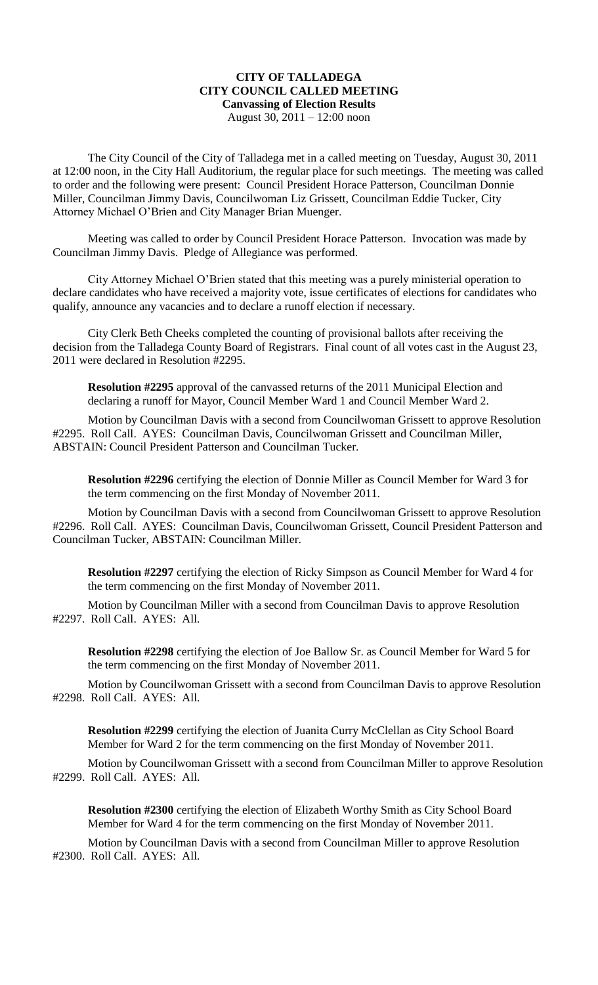## **CITY OF TALLADEGA CITY COUNCIL CALLED MEETING Canvassing of Election Results** August 30, 2011 – 12:00 noon

The City Council of the City of Talladega met in a called meeting on Tuesday, August 30, 2011 at 12:00 noon, in the City Hall Auditorium, the regular place for such meetings. The meeting was called to order and the following were present: Council President Horace Patterson, Councilman Donnie Miller, Councilman Jimmy Davis, Councilwoman Liz Grissett, Councilman Eddie Tucker, City Attorney Michael O'Brien and City Manager Brian Muenger.

Meeting was called to order by Council President Horace Patterson. Invocation was made by Councilman Jimmy Davis. Pledge of Allegiance was performed.

City Attorney Michael O'Brien stated that this meeting was a purely ministerial operation to declare candidates who have received a majority vote, issue certificates of elections for candidates who qualify, announce any vacancies and to declare a runoff election if necessary.

City Clerk Beth Cheeks completed the counting of provisional ballots after receiving the decision from the Talladega County Board of Registrars. Final count of all votes cast in the August 23, 2011 were declared in Resolution #2295.

**Resolution #2295** approval of the canvassed returns of the 2011 Municipal Election and declaring a runoff for Mayor, Council Member Ward 1 and Council Member Ward 2.

Motion by Councilman Davis with a second from Councilwoman Grissett to approve Resolution #2295. Roll Call. AYES: Councilman Davis, Councilwoman Grissett and Councilman Miller, ABSTAIN: Council President Patterson and Councilman Tucker.

**Resolution #2296** certifying the election of Donnie Miller as Council Member for Ward 3 for the term commencing on the first Monday of November 2011.

Motion by Councilman Davis with a second from Councilwoman Grissett to approve Resolution #2296. Roll Call. AYES: Councilman Davis, Councilwoman Grissett, Council President Patterson and Councilman Tucker, ABSTAIN: Councilman Miller.

**Resolution #2297** certifying the election of Ricky Simpson as Council Member for Ward 4 for the term commencing on the first Monday of November 2011.

Motion by Councilman Miller with a second from Councilman Davis to approve Resolution #2297. Roll Call. AYES: All.

**Resolution #2298** certifying the election of Joe Ballow Sr. as Council Member for Ward 5 for the term commencing on the first Monday of November 2011.

Motion by Councilwoman Grissett with a second from Councilman Davis to approve Resolution #2298. Roll Call. AYES: All.

**Resolution #2299** certifying the election of Juanita Curry McClellan as City School Board Member for Ward 2 for the term commencing on the first Monday of November 2011.

Motion by Councilwoman Grissett with a second from Councilman Miller to approve Resolution #2299. Roll Call. AYES: All.

**Resolution #2300** certifying the election of Elizabeth Worthy Smith as City School Board Member for Ward 4 for the term commencing on the first Monday of November 2011.

Motion by Councilman Davis with a second from Councilman Miller to approve Resolution #2300. Roll Call. AYES: All.